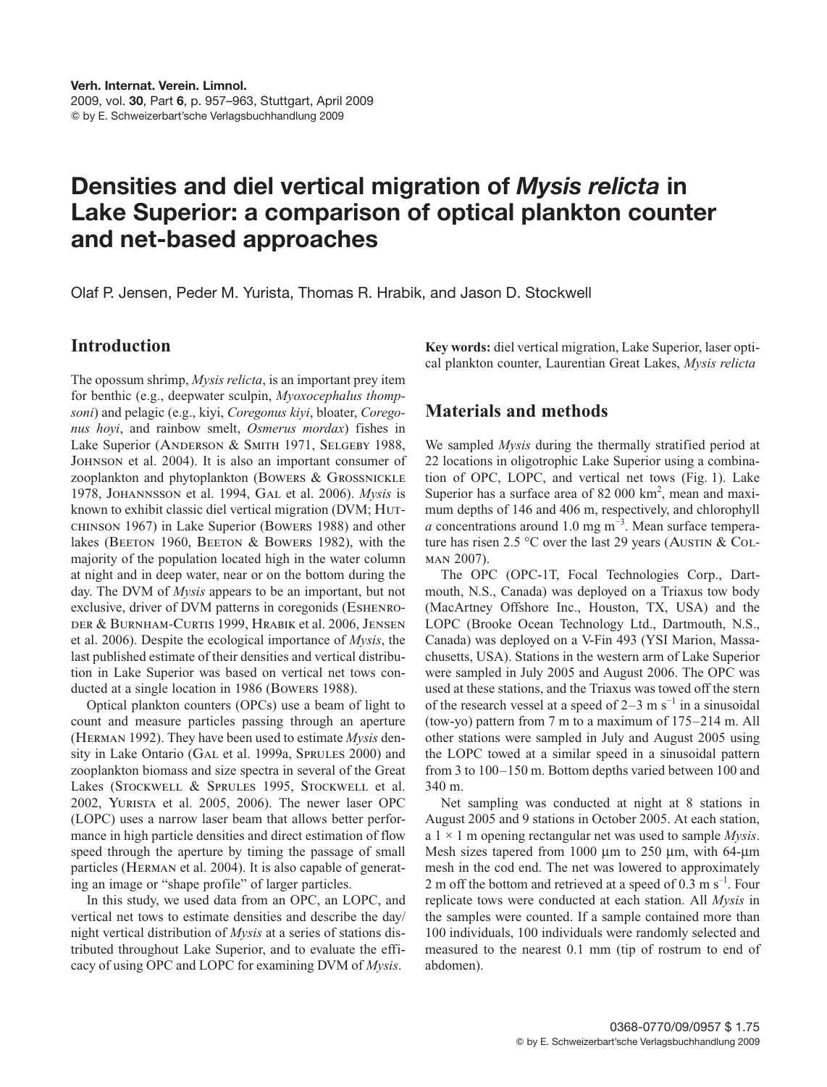2009, vol. **30**, Part **6**, p. 957–963, Stuttgart, April 2009 by E. Schweizerbart'sche Verlagsbuchhandlung 2009

# **Densities and diel vertical migration of** *Mysis relicta* **in Lake Superior: a comparison of optical plankton counter and net-based approaches**

Olaf P. Jensen, Peder M. Yurista, Thomas R. Hrabik, and Jason D. Stockwell

# **Introduction**

at night and in deep water, near or on the bottom during the The opossum shrimp, *Mysis relicta*, is an important prey item for benthic (e.g., deepwater sculpin, *Myoxocephalus thompsoni*) and pelagic (e.g., kiyi, *Coregonus kiyi*, bloater, *Coregonus hoyi*, and rainbow smelt, *Osmerus mordax*) fishes in Lake Superior (ANDERSON & SMITH 1971, SELGEBY 1988, Johnson et al. 2004). It is also an important consumer of zooplankton and phytoplankton (Bowers & Grossnickle 1978, Johannsson et al. 1994, Gal et al. 2006). *Mysis* is known to exhibit classic diel vertical migration (DVM; Hutchinson 1967) in Lake Superior (Bowers 1988) and other lakes (BEETON 1960, BEETON & BOWERS 1982), with the majority of the population located high in the water column day. The DVM of *Mysis* appears to be an important, but not exclusive, driver of DVM patterns in coregonids (Eshenroder & Burnham-Curtis 1999, Hrabik et al. 2006, Jensen et al. 2006). Despite the ecological importance of *Mysis*, the last published estimate of their densities and vertical distribution in Lake Superior was based on vertical net tows conducted at a single location in 1986 (Bowers 1988).

Optical plankton counters (OPCs) use a beam of light to count and measure particles passing through an aperture (Herman 1992). They have been used to estimate *Mysis* density in Lake Ontario (GAL et al. 1999a, SPRULES 2000) and zooplankton biomass and size spectra in several of the Great Lakes (STOCKWELL & SPRULES 1995, STOCKWELL et al. 2002, Yurista et al. 2005, 2006). The newer laser OPC (LOPC) uses a narrow laser beam that allows better performance in high particle densities and direct estimation of flow speed through the aperture by timing the passage of small particles (Herman et al. 2004). It is also capable of generating an image or "shape profile" of larger particles.

In this study, we used data from an OPC, an LOPC, and vertical net tows to estimate densities and describe the day/ night vertical distribution of *Mysis* at a series of stations distributed throughout Lake Superior, and to evaluate the efficacy of using OPC and LOPC for examining DVM of *Mysis*.

**Key words:** diel vertical migration, Lake Superior, laser optical plankton counter, Laurentian Great Lakes, *Mysis relicta*

# **Materials and methods**

We sampled *Mysis* during the thermally stratified period at 22 locations in oligotrophic Lake Superior using a combination of OPC, LOPC, and vertical net tows (Fig. 1). Lake Superior has a surface area of  $82000 \text{ km}^2$ , mean and maximum depths of 146 and 406 m, respectively, and chlorophyll *a* concentrations around 1.0 mg m<sup>-3</sup>. Mean surface temperature has risen 2.5 °C over the last 29 years (AUSTIN & COLman 2007).

The OPC (OPC-1T, Focal Technologies Corp., Dartmouth, N.S., Canada) was deployed on a Triaxus tow body (MacArtney Offshore Inc., Houston, TX, USA) and the LOPC (Brooke Ocean Technology Ltd., Dartmouth, N.S., Canada) was deployed on a V-Fin 493 (YSI Marion, Massachusetts, USA). Stations in the western arm of Lake Superior were sampled in July 2005 and August 2006. The OPC was used at these stations, and the Triaxus was towed off the stern of the research vessel at a speed of  $2-3$  m s<sup>-1</sup> in a sinusoidal (tow-yo) pattern from 7 m to a maximum of 175–214 m. All other stations were sampled in July and August 2005 using the LOPC towed at a similar speed in a sinusoidal pattern from 3 to 100–150 m. Bottom depths varied between 100 and 340 m.

Net sampling was conducted at night at 8 stations in August 2005 and 9 stations in October 2005. At each station, a 1 × 1 m opening rectangular net was used to sample *Mysis*. Mesh sizes tapered from 1000 µm to 250 µm, with 64-µm mesh in the cod end. The net was lowered to approximately 2 m off the bottom and retrieved at a speed of 0.3 m  $s^{-1}$ . Four replicate tows were conducted at each station. All *Mysis* in the samples were counted. If a sample contained more than 100 individuals, 100 individuals were randomly selected and measured to the nearest 0.1 mm (tip of rostrum to end of abdomen).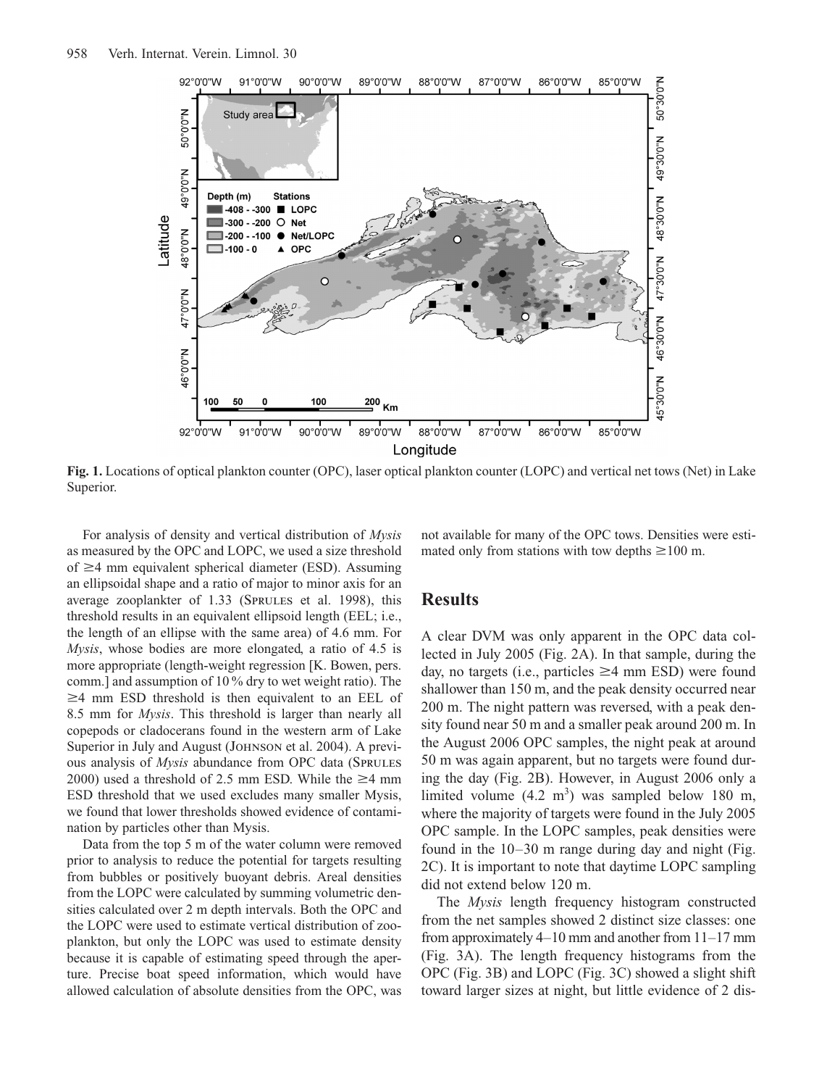

**Fig. 1.** Locations of optical plankton counter (OPC), laser optical plankton counter (LOPC) and vertical net tows (Net) in Lake Superior.

of  $\geq$ 4 mm equivalent spherical diameter (ESD). Assuming For analysis of density and vertical distribution of *Mysis* as measured by the OPC and LOPC, we used a size threshold an ellipsoidal shape and a ratio of major to minor axis for an average zooplankter of 1.33 (Sprules et al. 1998), this threshold results in an equivalent ellipsoid length (EEL; i.e., the length of an ellipse with the same area) of 4.6 mm. For *Mysis*, whose bodies are more elongated, a ratio of 4.5 is more appropriate (length-weight regression [K. Bowen, pers. comm.] and assumption of 10 % dry to wet weight ratio). The  $\geq$ 4 mm ESD threshold is then equivalent to an EEL of 8.5 mm for *Mysis*. This threshold is larger than nearly all copepods or cladocerans found in the western arm of Lake Superior in July and August (JOHNSON et al. 2004). A previous analysis of *Mysis* abundance from OPC data (Sprules 2000) used a threshold of 2.5 mm ESD. While the  $\geq$ 4 mm ESD threshold that we used excludes many smaller Mysis, we found that lower thresholds showed evidence of contamination by particles other than Mysis.

Data from the top 5 m of the water column were removed prior to analysis to reduce the potential for targets resulting from bubbles or positively buoyant debris. Areal densities from the LOPC were calculated by summing volumetric densities calculated over 2 m depth intervals. Both the OPC and the LOPC were used to estimate vertical distribution of zooplankton, but only the LOPC was used to estimate density because it is capable of estimating speed through the aperture. Precise boat speed information, which would have allowed calculation of absolute densities from the OPC, was not available for many of the OPC tows. Densities were estimated only from stations with tow depths  $\geq 100$  m.

#### **Results**

A clear DVM was only apparent in the OPC data collected in July 2005 (Fig. 2A). In that sample, during the day, no targets (i.e., particles  $\geq$ 4 mm ESD) were found shallower than 150 m, and the peak density occurred near 200 m. The night pattern was reversed, with a peak density found near 50 m and a smaller peak around 200 m. In the August 2006 OPC samples, the night peak at around 50 m was again apparent, but no targets were found during the day (Fig. 2B). However, in August 2006 only a limited volume  $(4.2 \text{ m}^3)$  was sampled below 180 m, where the majority of targets were found in the July 2005 OPC sample. In the LOPC samples, peak densities were found in the 10–30 m range during day and night (Fig. 2C). It is important to note that daytime LOPC sampling did not extend below 120 m.

The *Mysis* length frequency histogram constructed from the net samples showed 2 distinct size classes: one from approximately 4–10 mm and another from 11–17 mm (Fig. 3A). The length frequency histograms from the OPC (Fig. 3B) and LOPC (Fig. 3C) showed a slight shift toward larger sizes at night, but little evidence of 2 dis-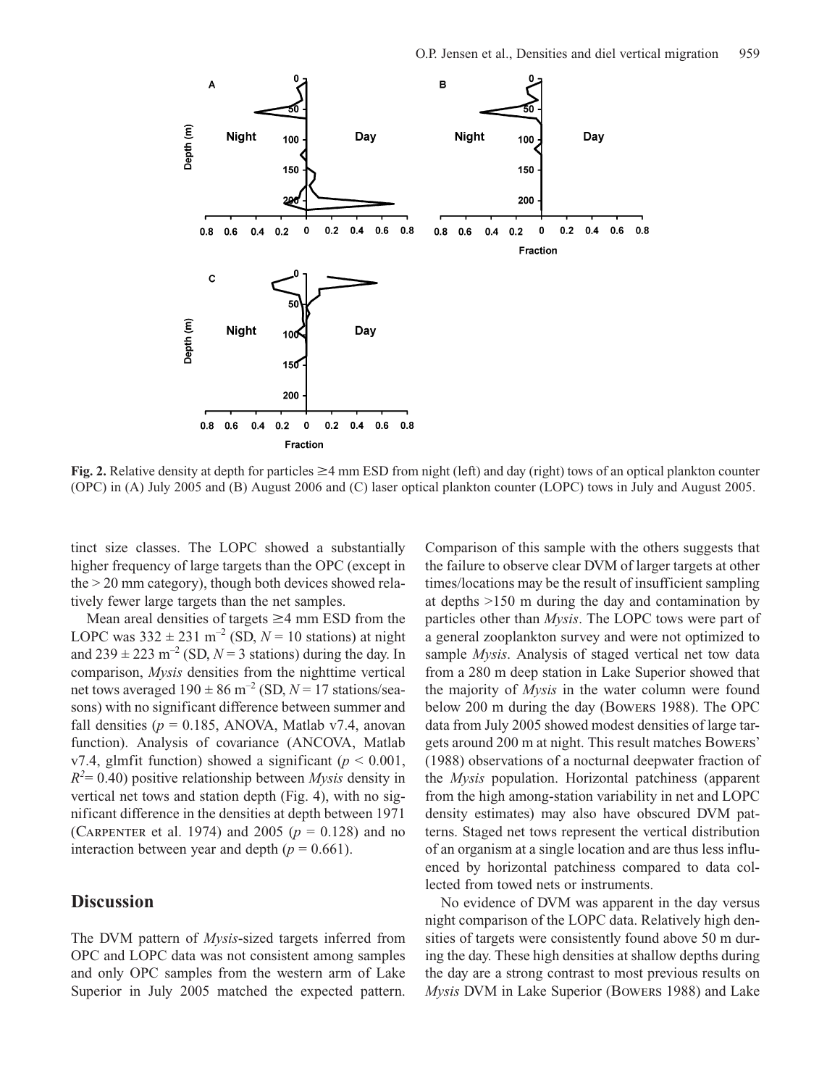

**Fig. 2.** Relative density at depth for particles  $\geq$ 4 mm ESD from night (left) and day (right) tows of an optical plankton counter (OPC) in (A) July 2005 and (B) August 2006 and (C) laser optical plankton counter (LOPC) tows in July and August 2005.

higher frequency of large targets than the OPC (except in tinct size classes. The LOPC showed a substantially the > 20 mm category), though both devices showed relatively fewer large targets than the net samples.

Mean areal densities of targets  $\geq$ 4 mm ESD from the LOPC was  $332 \pm 231$  m<sup>-2</sup> (SD,  $N = 10$  stations) at night and  $239 \pm 223$  m<sup>-2</sup> (SD,  $N = 3$  stations) during the day. In comparison, *Mysis* densities from the nighttime vertical net tows averaged  $190 \pm 86$  m<sup>-2</sup> (SD,  $N = 17$  stations/seasons) with no significant difference between summer and fall densities  $(p = 0.185, ANOVA, Matlab v7.4, anovan)$ function). Analysis of covariance (ANCOVA, Matlab v7.4, glmfit function) showed a significant ( $p < 0.001$ , *R2* = 0.40) positive relationship between *Mysis* density in vertical net tows and station depth (Fig. 4), with no significant difference in the densities at depth between 1971 (CARPENTER et al. 1974) and 2005 ( $p = 0.128$ ) and no interaction between year and depth  $(p = 0.661)$ .

## **Discussion**

The DVM pattern of *Mysis*-sized targets inferred from OPC and LOPC data was not consistent among samples and only OPC samples from the western arm of Lake Superior in July 2005 matched the expected pattern. Comparison of this sample with the others suggests that the failure to observe clear DVM of larger targets at other times/locations may be the result of insufficient sampling at depths >150 m during the day and contamination by particles other than *Mysis*. The LOPC tows were part of a general zooplankton survey and were not optimized to sample *Mysis*. Analysis of staged vertical net tow data from a 280 m deep station in Lake Superior showed that the majority of *Mysis* in the water column were found below 200 m during the day (Bowers 1988). The OPC data from July 2005 showed modest densities of large targets around 200 m at night. This result matches Bowers' (1988) observations of a nocturnal deepwater fraction of the *Mysis* population. Horizontal patchiness (apparent from the high among-station variability in net and LOPC density estimates) may also have obscured DVM patterns. Staged net tows represent the vertical distribution of an organism at a single location and are thus less influenced by horizontal patchiness compared to data collected from towed nets or instruments.

No evidence of DVM was apparent in the day versus night comparison of the LOPC data. Relatively high densities of targets were consistently found above 50 m during the day. These high densities at shallow depths during the day are a strong contrast to most previous results on *Mysis* DVM in Lake Superior (Bowers 1988) and Lake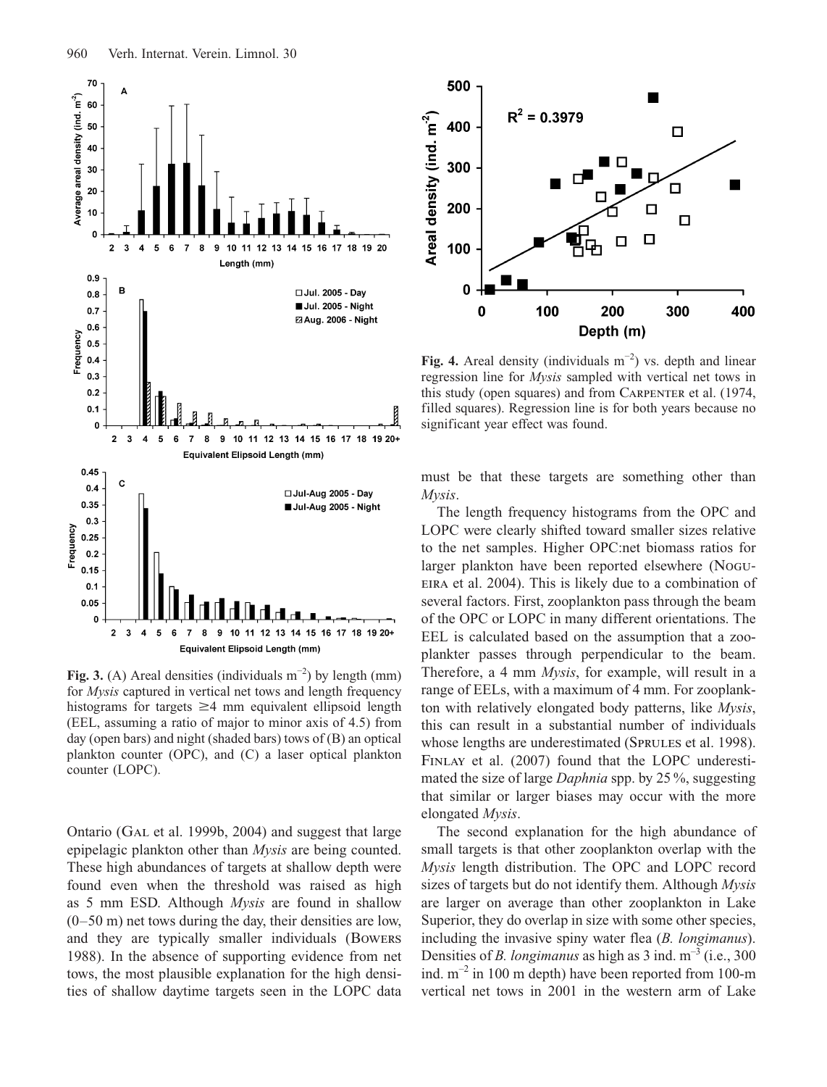

**Fig. 3.** (A) Areal densities (individuals  $m^{-2}$ ) by length (mm) for *Mysis* captured in vertical net tows and length frequency histograms for targets  $\geq$ 4 mm equivalent ellipsoid length (EEL, assuming a ratio of major to minor axis of 4.5) from day (open bars) and night (shaded bars) tows of (B) an optical plankton counter (OPC), and (C) a laser optical plankton counter (LOPC).

Ontario (Gal et al. 1999b, 2004) and suggest that large epipelagic plankton other than *Mysis* are being counted. These high abundances of targets at shallow depth were found even when the threshold was raised as high as 5 mm ESD. Although *Mysis* are found in shallow (0–50 m) net tows during the day, their densities are low, and they are typically smaller individuals (Bowers 1988). In the absence of supporting evidence from net tows, the most plausible explanation for the high densities of shallow daytime targets seen in the LOPC data



**Fig. 4.** Areal density (individuals m−2) vs. depth and linear regression line for *Mysis* sampled with vertical net tows in this study (open squares) and from Carpenter et al. (1974, filled squares). Regression line is for both years because no significant year effect was found.

must be that these targets are something other than *Mysis*.

The length frequency histograms from the OPC and LOPC were clearly shifted toward smaller sizes relative to the net samples. Higher OPC:net biomass ratios for larger plankton have been reported elsewhere (Nogu-EIRA et al. 2004). This is likely due to a combination of several factors. First, zooplankton pass through the beam of the OPC or LOPC in many different orientations. The EEL is calculated based on the assumption that a zooplankter passes through perpendicular to the beam. Therefore, a 4 mm *Mysis*, for example, will result in a range of EELs, with a maximum of 4 mm. For zooplankton with relatively elongated body patterns, like *Mysis*, this can result in a substantial number of individuals whose lengths are underestimated (SPRULES et al. 1998). Finlay et al. (2007) found that the LOPC underestimated the size of large *Daphnia* spp. by 25 %, suggesting that similar or larger biases may occur with the more elongated *Mysis*.

The second explanation for the high abundance of small targets is that other zooplankton overlap with the *Mysis* length distribution. The OPC and LOPC record sizes of targets but do not identify them. Although *Mysis* are larger on average than other zooplankton in Lake Superior, they do overlap in size with some other species, including the invasive spiny water flea (*B. longimanus*). Densities of *B. longimanus* as high as  $3$  ind.  $m^{-3}$  (i.e., 300) ind.  $m^{-2}$  in 100 m depth) have been reported from 100-m vertical net tows in 2001 in the western arm of Lake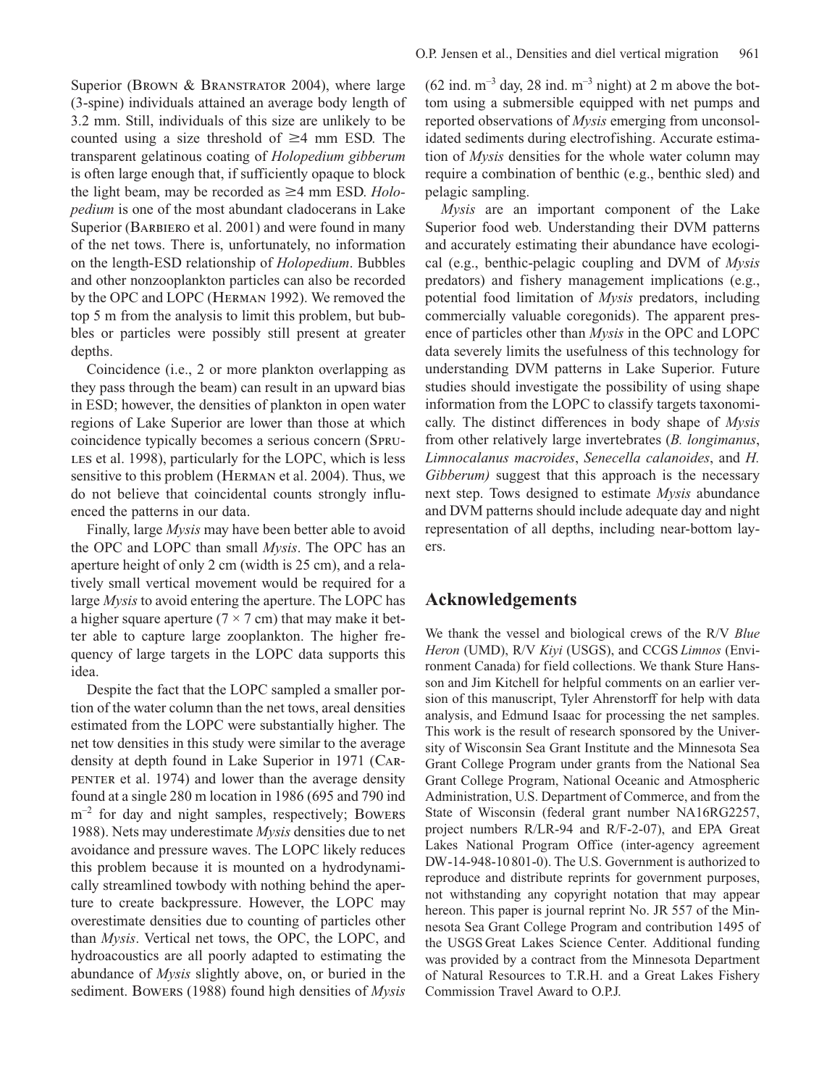Superior (BROWN & BRANSTRATOR 2004), where large (3-spine) individuals attained an average body length of 3.2 mm. Still, individuals of this size are unlikely to be counted using a size threshold of  $\geq 4$  mm ESD. The transparent gelatinous coating of *Holopedium gibberum* is often large enough that, if sufficiently opaque to block the light beam, may be recorded as  $\geq$ 4 mm ESD. *Holopedium* is one of the most abundant cladocerans in Lake Superior (BARBIERO et al. 2001) and were found in many of the net tows. There is, unfortunately, no information on the length-ESD relationship of *Holopedium*. Bubbles and other nonzooplankton particles can also be recorded by the OPC and LOPC (Herman 1992). We removed the top 5 m from the analysis to limit this problem, but bubbles or particles were possibly still present at greater depths.

Coincidence (i.e., 2 or more plankton overlapping as they pass through the beam) can result in an upward bias in ESD; however, the densities of plankton in open water regions of Lake Superior are lower than those at which coincidence typically becomes a serious concern (Spru-LES et al. 1998), particularly for the LOPC, which is less sensitive to this problem (Herman et al. 2004). Thus, we do not believe that coincidental counts strongly influenced the patterns in our data.

aperture height of only 2 cm (width is 25 cm), and a rela-Finally, large *Mysis* may have been better able to avoid the OPC and LOPC than small *Mysis*. The OPC has an tively small vertical movement would be required for a large *Mysis* to avoid entering the aperture. The LOPC has a higher square aperture ( $7 \times 7$  cm) that may make it better able to capture large zooplankton. The higher frequency of large targets in the LOPC data supports this idea.

Despite the fact that the LOPC sampled a smaller portion of the water column than the net tows, areal densities estimated from the LOPC were substantially higher. The net tow densities in this study were similar to the average density at depth found in Lake Superior in 1971 (Carpenter et al. 1974) and lower than the average density found at a single 280 m location in 1986 (695 and 790 ind  $m^{-2}$  for day and night samples, respectively; Bowers 1988). Nets may underestimate *Mysis* densities due to net avoidance and pressure waves. The LOPC likely reduces this problem because it is mounted on a hydrodynamically streamlined towbody with nothing behind the aperture to create backpressure. However, the LOPC may overestimate densities due to counting of particles other than *Mysis*. Vertical net tows, the OPC, the LOPC, and hydroacoustics are all poorly adapted to estimating the abundance of *Mysis* slightly above, on, or buried in the sediment. Bowers (1988) found high densities of *Mysis*  $(62 \text{ ind. m}^{-3} \text{ day}, 28 \text{ ind. m}^{-3} \text{ night})$  at 2 m above the bottom using a submersible equipped with net pumps and reported observations of *Mysis* emerging from unconsolidated sediments during electrofishing. Accurate estimation of *Mysis* densities for the whole water column may require a combination of benthic (e.g., benthic sled) and pelagic sampling.

*Mysis* are an important component of the Lake Superior food web. Understanding their DVM patterns and accurately estimating their abundance have ecological (e.g., benthic-pelagic coupling and DVM of *Mysis* predators) and fishery management implications (e.g., potential food limitation of *Mysis* predators, including commercially valuable coregonids). The apparent presence of particles other than *Mysis* in the OPC and LOPC data severely limits the usefulness of this technology for understanding DVM patterns in Lake Superior. Future studies should investigate the possibility of using shape information from the LOPC to classify targets taxonomically. The distinct differences in body shape of *Mysis* from other relatively large invertebrates (*B. longimanus*, *Limnocalanus macroides*, *Senecella calanoides*, and *H. Gibberum)* suggest that this approach is the necessary next step. Tows designed to estimate *Mysis* abundance and DVM patterns should include adequate day and night representation of all depths, including near-bottom layers.

### **Acknowledgements**

We thank the vessel and biological crews of the R/V *Blue Heron* (UMD), R/V *Kiyi* (USGS), and CCGS *Limnos* (Environment Canada) for field collections. We thank Sture Hansson and Jim Kitchell for helpful comments on an earlier version of this manuscript, Tyler Ahrenstorff for help with data analysis, and Edmund Isaac for processing the net samples. This work is the result of research sponsored by the University of Wisconsin Sea Grant Institute and the Minnesota Sea Grant College Program under grants from the National Sea Grant College Program, National Oceanic and Atmospheric Administration, U.S. Department of Commerce, and from the State of Wisconsin (federal grant number NA16RG2257, project numbers R/LR-94 and R/F-2-07), and EPA Great Lakes National Program Office (inter-agency agreement DW-14-948-10801-0). The U.S. Government is authorized to reproduce and distribute reprints for government purposes, not withstanding any copyright notation that may appear hereon. This paper is journal reprint No. JR 557 of the Minnesota Sea Grant College Program and contribution 1495 of the USGS Great Lakes Science Center. Additional funding was provided by a contract from the Minnesota Department of Natural Resources to T.R.H. and a Great Lakes Fishery Commission Travel Award to O.P.J.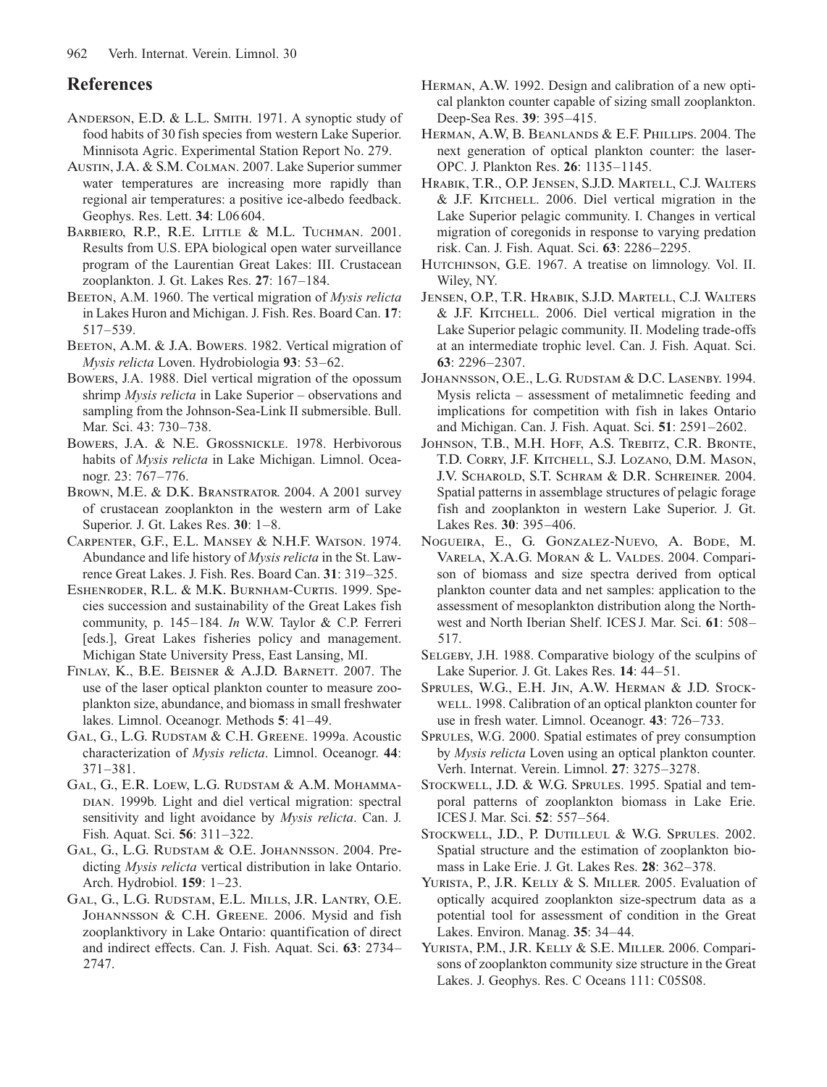## **References**

- Anderson, E.D. & L.L. Smith. 1971. A synoptic study of food habits of 30 fish species from western Lake Superior. Minnisota Agric. Experimental Station Report No. 279.
- Austin, J.A. & S.M. Colman. 2007. Lake Superior summer water temperatures are increasing more rapidly than regional air temperatures: a positive ice-albedo feedback. Geophys. Res. Lett. **34**: L06604.
- BARBIERO, R.P., R.E. LITTLE & M.L. TUCHMAN. 2001. Results from U.S. EPA biological open water surveillance program of the Laurentian Great Lakes: III. Crustacean zooplankton. J. Gt. Lakes Res. **27**: 167–184.
- BEETON, A.M. 1960. The vertical migration of *Mysis relicta* in Lakes Huron and Michigan. J. Fish. Res. Board Can. **17**: 517–539.
- BEETON, A.M. & J.A. BOWERS. 1982. Vertical migration of *Mysis relicta* Loven. Hydrobiologia **93**: 53–62.
- Bowers, J.A. 1988. Diel vertical migration of the opossum shrimp *Mysis relicta* in Lake Superior – observations and sampling from the Johnson-Sea-Link II submersible. Bull. Mar. Sci. 43: 730–738.
- Bowers, J.A. & N.E. Grossnickle. 1978. Herbivorous habits of *Mysis relicta* in Lake Michigan. Limnol. Oceanogr. 23: 767–776.
- Brown, M.E. & D.K. Branstrator. 2004. A 2001 survey of crustacean zooplankton in the western arm of Lake Superior. J. Gt. Lakes Res. **30**: 1–8.
- rence Great Lakes. J. Fish. Res. Board Can. 31: 319–325. Carpenter, G.F., E.L. Mansey & N.H.F. Watson. 1974. Abundance and life history of *Mysis relicta* in the St. Law-
- ESHENRODER, R.L. & M.K. BURNHAM-CURTIS. 1999. Species succession and sustainability of the Great Lakes fish community, p. 145–184. *In* W.W. Taylor & C.P. Ferreri [eds.], Great Lakes fisheries policy and management. Michigan State University Press, East Lansing, MI.
- Finlay, K., B.E. Beisner & A.J.D. Barnett. 2007. The use of the laser optical plankton counter to measure zooplankton size, abundance, and biomass in small freshwater lakes. Limnol. Oceanogr. Methods **5**: 41–49.
- Gal, G., L.G. Rudstam & C.H. Greene. 1999a. Acoustic characterization of *Mysis relicta*. Limnol. Oceanogr. **44**: 371–381.
- Gal, G., E.R. Loew, L.G. Rudstam & A.M. Mohamma-DIAN. 1999b. Light and diel vertical migration: spectral sensitivity and light avoidance by *Mysis relicta*. Can. J. Fish. Aquat. Sci. **56**: 311–322.
- Gal, G., L.G. Rudstam & O.E. Johannsson. 2004. Predicting *Mysis relicta* vertical distribution in lake Ontario. Arch. Hydrobiol. **159**: 1–23.
- Gal, G., L.G. Rudstam, E.L. Mills, J.R. Lantry, O.E. JOHANNSSON & C.H. GREENE. 2006. Mysid and fish zooplanktivory in Lake Ontario: quantification of direct and indirect effects. Can. J. Fish. Aquat. Sci. **63**: 2734– 2747.
- Herman, A.W. 1992. Design and calibration of a new optical plankton counter capable of sizing small zooplankton. Deep-Sea Res. **39**: 395–415.
- Herman, A.W, B. Beanlands & E.F. Phillips. 2004. The next generation of optical plankton counter: the laser-OPC. J. Plankton Res. **26**: 1135–1145.
- Hrabik, T.R., O.P. Jensen, S.J.D. Martell, C.J. Walters & J.F. Kitchell. 2006. Diel vertical migration in the Lake Superior pelagic community. I. Changes in vertical migration of coregonids in response to varying predation risk. Can. J. Fish. Aquat. Sci. **63**: 2286–2295.
- HUTCHINSON, G.E. 1967. A treatise on limnology. Vol. II. Wiley, NY.
- Jensen, O.P., T.R. Hrabik, S.J.D. Martell, C.J. Walters & J.F. Kitchell. 2006. Diel vertical migration in the Lake Superior pelagic community. II. Modeling trade-offs at an intermediate trophic level. Can. J. Fish. Aquat. Sci. **63**: 2296–2307.
- Johannsson, O.E., L.G. Rudstam & D.C. Lasenby. 1994. Mysis relicta – assessment of metalimnetic feeding and implications for competition with fish in lakes Ontario and Michigan. Can. J. Fish. Aquat. Sci. **51**: 2591–2602.
- Johnson, T.B., M.H. Hoff, A.S. Trebitz, C.R. Bronte, T.D. Corry, J.F. Kitchell, S.J. Lozano, D.M. Mason, J.V. Scharold, S.T. Schram & D.R. Schreiner. 2004. Spatial patterns in assemblage structures of pelagic forage fish and zooplankton in western Lake Superior. J. Gt. Lakes Res. **30**: 395–406.
- Nogueira, E., G. Gonzalez-Nuevo, A. Bode, M. Varela, X.A.G. Moran & L. Valdes. 2004. Comparison of biomass and size spectra derived from optical plankton counter data and net samples: application to the assessment of mesoplankton distribution along the Northwest and North Iberian Shelf. ICES J. Mar. Sci. **61**: 508– 517.
- SELGEBY, J.H. 1988. Comparative biology of the sculpins of Lake Superior. J. Gt. Lakes Res. **14**: 44–51.
- SPRULES, W.G., E.H. JIN, A.W. HERMAN & J.D. STOCKwell. 1998. Calibration of an optical plankton counter for use in fresh water. Limnol. Oceanogr. **43**: 726–733.
- Sprules, W.G. 2000. Spatial estimates of prey consumption by *Mysis relicta* Loven using an optical plankton counter. Verh. Internat. Verein. Limnol. **27**: 3275–3278.
- STOCKWELL, J.D. & W.G. SPRULES. 1995. Spatial and temporal patterns of zooplankton biomass in Lake Erie. ICES J. Mar. Sci. **52**: 557–564.
- STOCKWELL, J.D., P. DUTILLEUL & W.G. SPRULES. 2002. Spatial structure and the estimation of zooplankton biomass in Lake Erie. J. Gt. Lakes Res. **28**: 362–378.
- YURISTA, P., J.R. KELLY & S. MILLER. 2005. Evaluation of optically acquired zooplankton size-spectrum data as a potential tool for assessment of condition in the Great Lakes. Environ. Manag. **35**: 34–44.
- YURISTA, P.M., J.R. KELLY & S.E. MILLER. 2006. Comparisons of zooplankton community size structure in the Great Lakes. J. Geophys. Res. C Oceans 111: C05S08.